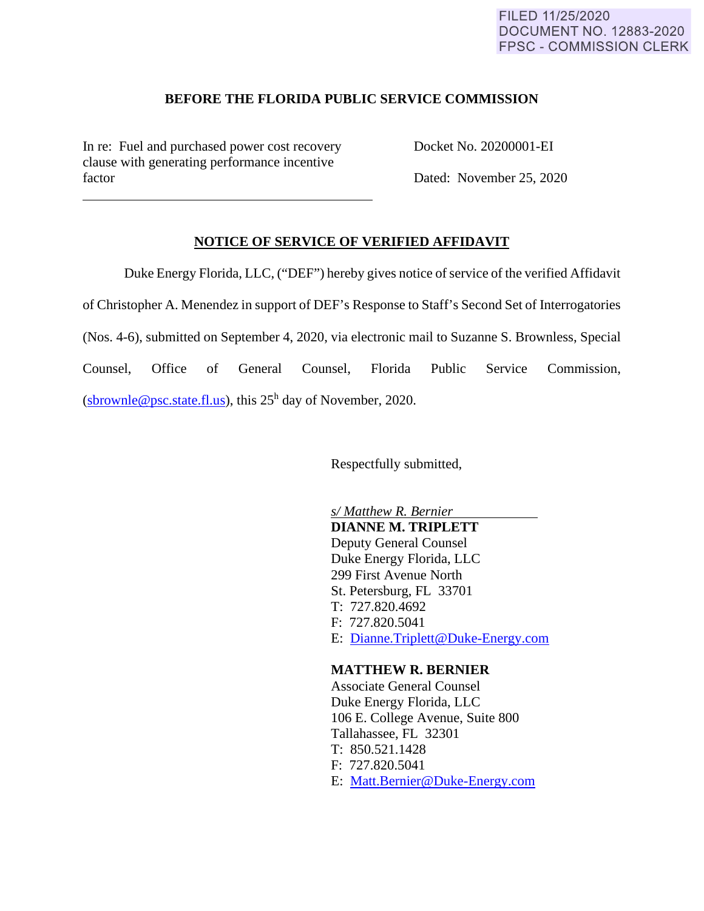### FILED 11/25/2020 DOCUMENT NO. 12883-2020 **FPSC - COMMISSION CLERK**

#### **BEFORE THE FLORIDA PUBLIC SERVICE COMMISSION**

In re: Fuel and purchased power cost recovery Docket No. 20200001-EI clause with generating performance incentive factor Dated: November 25, 2020

 $\overline{a}$ 

# **NOTICE OF SERVICE OF VERIFIED AFFIDAVIT**

Duke Energy Florida, LLC, ("DEF") hereby gives notice of service of the verified Affidavit of Christopher A. Menendez in support of DEF's Response to Staff's Second Set of Interrogatories (Nos. 4-6), submitted on September 4, 2020, via electronic mail to Suzanne S. Brownless, Special Counsel, Office of General Counsel, Florida Public Service Commission, (sbrownle@psc.state.fl.us), this  $25<sup>h</sup>$  day of November, 2020.

Respectfully submitted,

 *s/ Matthew R. Bernier*  **DIANNE M. TRIPLETT** Deputy General Counsel Duke Energy Florida, LLC 299 First Avenue North St. Petersburg, FL 33701 T: 727.820.4692 F: 727.820.5041 E: Dianne.Triplett@Duke-Energy.com

#### **MATTHEW R. BERNIER**

 Associate General Counsel Duke Energy Florida, LLC 106 E. College Avenue, Suite 800 Tallahassee, FL 32301 T: 850.521.1428 F: 727.820.5041 E: Matt.Bernier@Duke-Energy.com